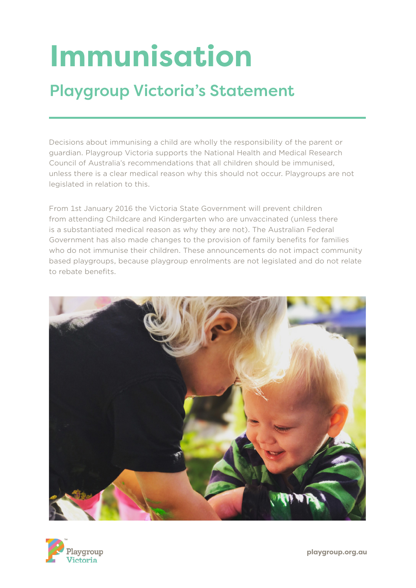# **Immunisation**

## Playgroup Victoria's Statement

Decisions about immunising a child are wholly the responsibility of the parent or guardian. Playgroup Victoria supports the National Health and Medical Research Council of Australia's recommendations that all children should be immunised, unless there is a clear medical reason why this should not occur. Playgroups are not legislated in relation to this.

From 1st January 2016 the Victoria State Government will prevent children from attending Childcare and Kindergarten who are unvaccinated (unless there is a substantiated medical reason as why they are not). The Australian Federal Government has also made changes to the provision of family benefits for families who do not immunise their children. These announcements do not impact community based playgroups, because playgroup enrolments are not legislated and do not relate to rebate benefits.



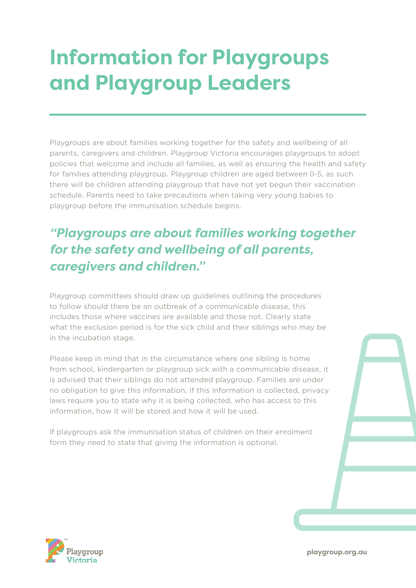## **Information for Playgroups and Playgroup Leaders**

Playgroups are about families working together for the safety and wellbeing of all parents, caregivers and children. Playgroup Victoria encourages playgroups to adopt policies that welcome and include all families, as well as ensuring the health and safety for families attending playgroup. Playgroup children are aged between 0-5, as such there will be children attending playgroup that have not yet begun their vaccination schedule. Parents need to take precautions when taking very young babies to playgroup before the immunisation schedule begins.

### *"Playgroups are about families working together for the safety and wellbeing of all parents, caregivers and children."*

Playgroup committees should draw up guidelines outlining the procedures to follow should there be an outbreak of a communicable disease, this includes those where vaccines are available and those not. Clearly state what the exclusion period is for the sick child and their siblings who may be in the incubation stage.

Please keep in mind that in the circumstance where one sibling is home from school, kindergarten or playgroup sick with a communicable disease, it is advised that their siblings do not attended playgroup. Families are under no obligation to give this information. If this information is collected, privacy laws require you to state why it is being collected, who has access to this information, how it will be stored and how it will be used.

If playgroups ask the immunisation status of children on their enrolment form they need to state that giving the information is optional.



**playgroup.org.au**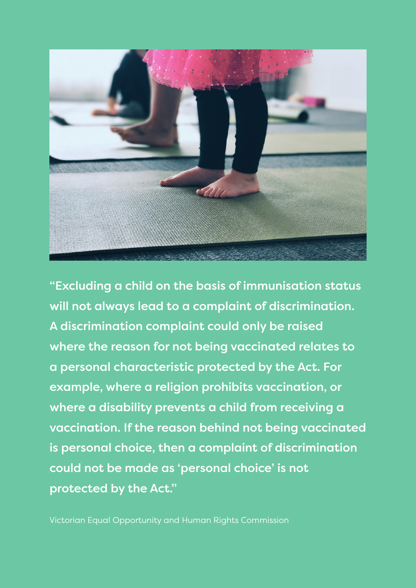

"Excluding a child on the basis of immunisation status will not always lead to a complaint of discrimination. A discrimination complaint could only be raised where the reason for not being vaccinated relates to a personal characteristic protected by the Act. For example, where a religion prohibits vaccination, or where a disability prevents a child from receiving a vaccination. If the reason behind not being vaccinated is personal choice, then a complaint of discrimination could not be made as 'personal choice' is not protected by the Act."

Victorian Equal Opportunity and Human Rights Commission